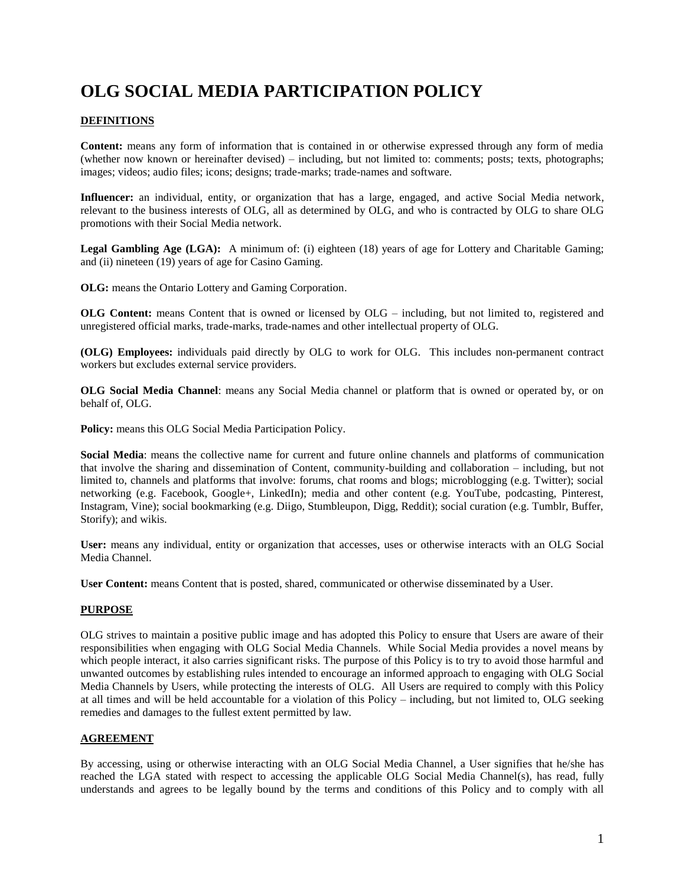# **OLG SOCIAL MEDIA PARTICIPATION POLICY**

# **DEFINITIONS**

**Content:** means any form of information that is contained in or otherwise expressed through any form of media (whether now known or hereinafter devised) – including, but not limited to: comments; posts; texts, photographs; images; videos; audio files; icons; designs; trade-marks; trade-names and software.

**Influencer:** an individual, entity, or organization that has a large, engaged, and active Social Media network, relevant to the business interests of OLG, all as determined by OLG, and who is contracted by OLG to share OLG promotions with their Social Media network.

**Legal Gambling Age (LGA):** A minimum of: (i) eighteen (18) years of age for Lottery and Charitable Gaming; and (ii) nineteen (19) years of age for Casino Gaming.

**OLG:** means the Ontario Lottery and Gaming Corporation.

**OLG Content:** means Content that is owned or licensed by OLG – including, but not limited to, registered and unregistered official marks, trade-marks, trade-names and other intellectual property of OLG.

**(OLG) Employees:** individuals paid directly by OLG to work for OLG. This includes non-permanent contract workers but excludes external service providers.

**OLG Social Media Channel**: means any Social Media channel or platform that is owned or operated by, or on behalf of, OLG.

**Policy:** means this OLG Social Media Participation Policy.

**Social Media**: means the collective name for current and future online channels and platforms of communication that involve the sharing and dissemination of Content, community-building and collaboration – including, but not limited to, channels and platforms that involve: forums, chat rooms and blogs; microblogging (e.g. Twitter); social networking (e.g. Facebook, Google+, LinkedIn); media and other content (e.g. YouTube, podcasting, Pinterest, Instagram, Vine); social bookmarking (e.g. Diigo, Stumbleupon, Digg, Reddit); social curation (e.g. Tumblr, Buffer, Storify); and wikis.

**User:** means any individual, entity or organization that accesses, uses or otherwise interacts with an OLG Social Media Channel.

**User Content:** means Content that is posted, shared, communicated or otherwise disseminated by a User.

## **PURPOSE**

OLG strives to maintain a positive public image and has adopted this Policy to ensure that Users are aware of their responsibilities when engaging with OLG Social Media Channels. While Social Media provides a novel means by which people interact, it also carries significant risks. The purpose of this Policy is to try to avoid those harmful and unwanted outcomes by establishing rules intended to encourage an informed approach to engaging with OLG Social Media Channels by Users, while protecting the interests of OLG. All Users are required to comply with this Policy at all times and will be held accountable for a violation of this Policy – including, but not limited to, OLG seeking remedies and damages to the fullest extent permitted by law.

## **AGREEMENT**

By accessing, using or otherwise interacting with an OLG Social Media Channel, a User signifies that he/she has reached the LGA stated with respect to accessing the applicable OLG Social Media Channel(s), has read, fully understands and agrees to be legally bound by the terms and conditions of this Policy and to comply with all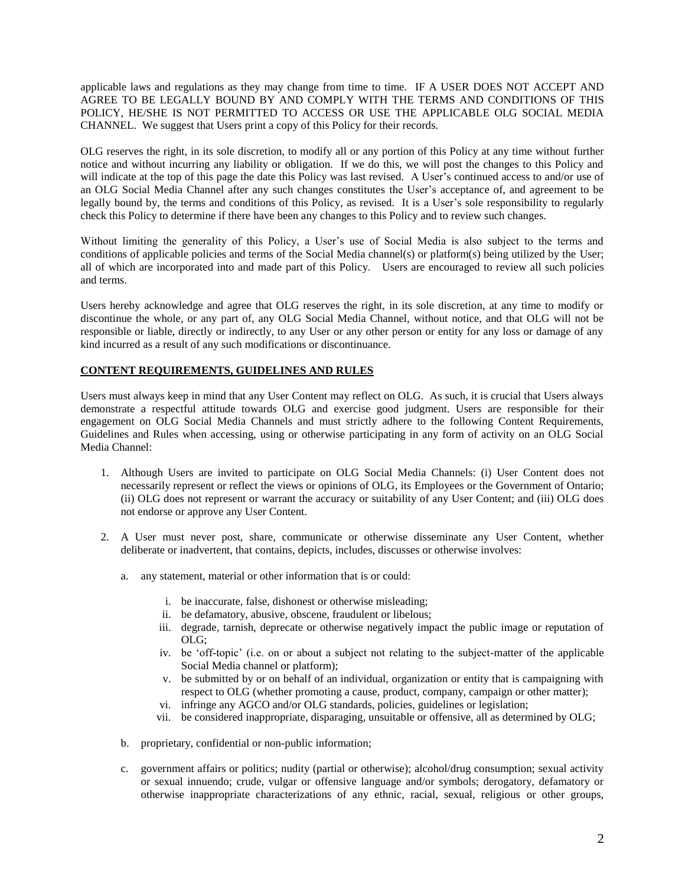applicable laws and regulations as they may change from time to time. IF A USER DOES NOT ACCEPT AND AGREE TO BE LEGALLY BOUND BY AND COMPLY WITH THE TERMS AND CONDITIONS OF THIS POLICY, HE/SHE IS NOT PERMITTED TO ACCESS OR USE THE APPLICABLE OLG SOCIAL MEDIA CHANNEL. We suggest that Users print a copy of this Policy for their records.

OLG reserves the right, in its sole discretion, to modify all or any portion of this Policy at any time without further notice and without incurring any liability or obligation. If we do this, we will post the changes to this Policy and will indicate at the top of this page the date this Policy was last revised. A User's continued access to and/or use of an OLG Social Media Channel after any such changes constitutes the User's acceptance of, and agreement to be legally bound by, the terms and conditions of this Policy, as revised. It is a User's sole responsibility to regularly check this Policy to determine if there have been any changes to this Policy and to review such changes.

Without limiting the generality of this Policy, a User's use of Social Media is also subject to the terms and conditions of applicable policies and terms of the Social Media channel(s) or platform(s) being utilized by the User; all of which are incorporated into and made part of this Policy. Users are encouraged to review all such policies and terms.

Users hereby acknowledge and agree that OLG reserves the right, in its sole discretion, at any time to modify or discontinue the whole, or any part of, any OLG Social Media Channel, without notice, and that OLG will not be responsible or liable, directly or indirectly, to any User or any other person or entity for any loss or damage of any kind incurred as a result of any such modifications or discontinuance.

# **CONTENT REQUIREMENTS, GUIDELINES AND RULES**

Users must always keep in mind that any User Content may reflect on OLG. As such, it is crucial that Users always demonstrate a respectful attitude towards OLG and exercise good judgment. Users are responsible for their engagement on OLG Social Media Channels and must strictly adhere to the following Content Requirements, Guidelines and Rules when accessing, using or otherwise participating in any form of activity on an OLG Social Media Channel:

- 1. Although Users are invited to participate on OLG Social Media Channels: (i) User Content does not necessarily represent or reflect the views or opinions of OLG, its Employees or the Government of Ontario; (ii) OLG does not represent or warrant the accuracy or suitability of any User Content; and (iii) OLG does not endorse or approve any User Content.
- 2. A User must never post, share, communicate or otherwise disseminate any User Content, whether deliberate or inadvertent, that contains, depicts, includes, discusses or otherwise involves:
	- a. any statement, material or other information that is or could:
		- i. be inaccurate, false, dishonest or otherwise misleading;
		- ii. be defamatory, abusive, obscene, fraudulent or libelous;
		- iii. degrade, tarnish, deprecate or otherwise negatively impact the public image or reputation of OLG;
		- iv. be 'off-topic' (i.e. on or about a subject not relating to the subject-matter of the applicable Social Media channel or platform);
		- v. be submitted by or on behalf of an individual, organization or entity that is campaigning with respect to OLG (whether promoting a cause, product, company, campaign or other matter);
		- vi. infringe any AGCO and/or OLG standards, policies, guidelines or legislation;
		- vii. be considered inappropriate, disparaging, unsuitable or offensive, all as determined by OLG;
	- b. proprietary, confidential or non-public information;
	- c. government affairs or politics; nudity (partial or otherwise); alcohol/drug consumption; sexual activity or sexual innuendo; crude, vulgar or offensive language and/or symbols; derogatory, defamatory or otherwise inappropriate characterizations of any ethnic, racial, sexual, religious or other groups,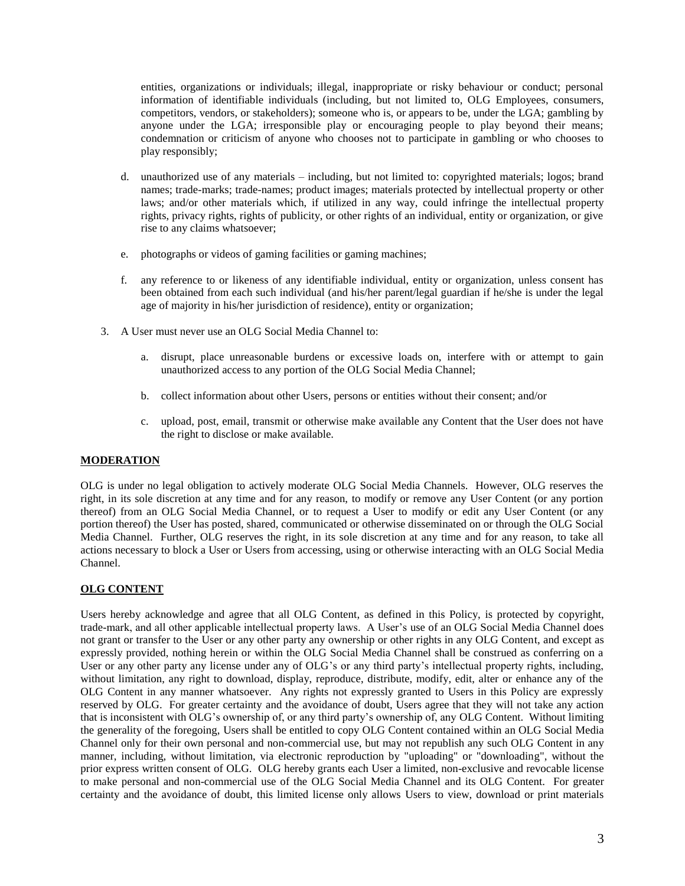entities, organizations or individuals; illegal, inappropriate or risky behaviour or conduct; personal information of identifiable individuals (including, but not limited to, OLG Employees, consumers, competitors, vendors, or stakeholders); someone who is, or appears to be, under the LGA; gambling by anyone under the LGA; irresponsible play or encouraging people to play beyond their means; condemnation or criticism of anyone who chooses not to participate in gambling or who chooses to play responsibly;

- d. unauthorized use of any materials including, but not limited to: copyrighted materials; logos; brand names; trade-marks; trade-names; product images; materials protected by intellectual property or other laws; and/or other materials which, if utilized in any way, could infringe the intellectual property rights, privacy rights, rights of publicity, or other rights of an individual, entity or organization, or give rise to any claims whatsoever;
- e. photographs or videos of gaming facilities or gaming machines;
- f. any reference to or likeness of any identifiable individual, entity or organization, unless consent has been obtained from each such individual (and his/her parent/legal guardian if he/she is under the legal age of majority in his/her jurisdiction of residence), entity or organization;
- 3. A User must never use an OLG Social Media Channel to:
	- a. disrupt, place unreasonable burdens or excessive loads on, interfere with or attempt to gain unauthorized access to any portion of the OLG Social Media Channel;
	- b. collect information about other Users, persons or entities without their consent; and/or
	- c. upload, post, email, transmit or otherwise make available any Content that the User does not have the right to disclose or make available.

## **MODERATION**

OLG is under no legal obligation to actively moderate OLG Social Media Channels. However, OLG reserves the right, in its sole discretion at any time and for any reason, to modify or remove any User Content (or any portion thereof) from an OLG Social Media Channel, or to request a User to modify or edit any User Content (or any portion thereof) the User has posted, shared, communicated or otherwise disseminated on or through the OLG Social Media Channel. Further, OLG reserves the right, in its sole discretion at any time and for any reason, to take all actions necessary to block a User or Users from accessing, using or otherwise interacting with an OLG Social Media Channel.

## **OLG CONTENT**

Users hereby acknowledge and agree that all OLG Content, as defined in this Policy, is protected by copyright, trade-mark, and all other applicable intellectual property laws. A User's use of an OLG Social Media Channel does not grant or transfer to the User or any other party any ownership or other rights in any OLG Content, and except as expressly provided, nothing herein or within the OLG Social Media Channel shall be construed as conferring on a User or any other party any license under any of OLG's or any third party's intellectual property rights, including, without limitation, any right to download, display, reproduce, distribute, modify, edit, alter or enhance any of the OLG Content in any manner whatsoever. Any rights not expressly granted to Users in this Policy are expressly reserved by OLG. For greater certainty and the avoidance of doubt, Users agree that they will not take any action that is inconsistent with OLG's ownership of, or any third party's ownership of, any OLG Content. Without limiting the generality of the foregoing, Users shall be entitled to copy OLG Content contained within an OLG Social Media Channel only for their own personal and non-commercial use, but may not republish any such OLG Content in any manner, including, without limitation, via electronic reproduction by "uploading" or "downloading", without the prior express written consent of OLG. OLG hereby grants each User a limited, non-exclusive and revocable license to make personal and non-commercial use of the OLG Social Media Channel and its OLG Content. For greater certainty and the avoidance of doubt, this limited license only allows Users to view, download or print materials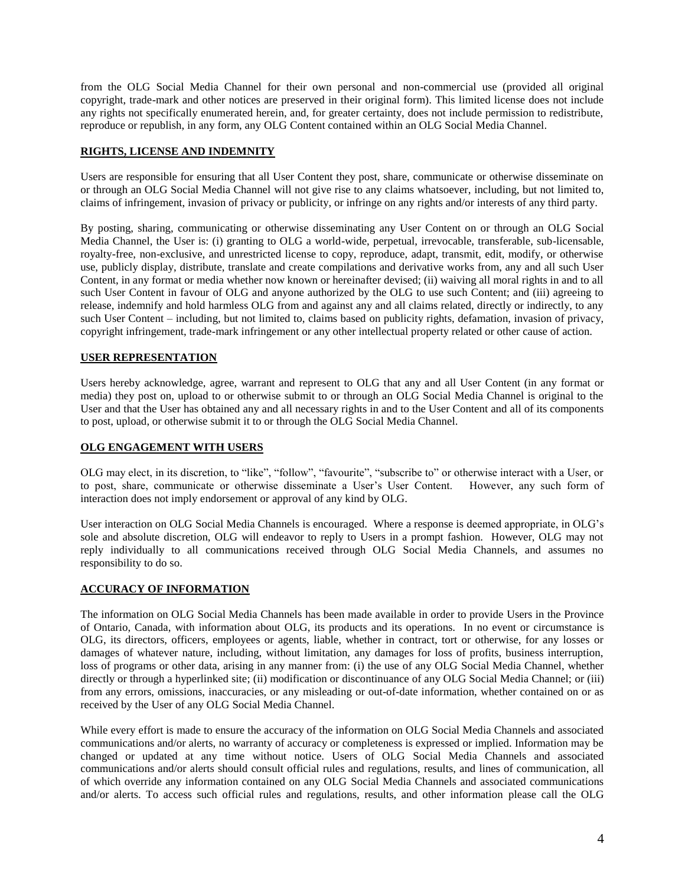from the OLG Social Media Channel for their own personal and non-commercial use (provided all original copyright, trade-mark and other notices are preserved in their original form). This limited license does not include any rights not specifically enumerated herein, and, for greater certainty, does not include permission to redistribute, reproduce or republish, in any form, any OLG Content contained within an OLG Social Media Channel.

## **RIGHTS, LICENSE AND INDEMNITY**

Users are responsible for ensuring that all User Content they post, share, communicate or otherwise disseminate on or through an OLG Social Media Channel will not give rise to any claims whatsoever, including, but not limited to, claims of infringement, invasion of privacy or publicity, or infringe on any rights and/or interests of any third party.

By posting, sharing, communicating or otherwise disseminating any User Content on or through an OLG Social Media Channel, the User is: (i) granting to OLG a world-wide, perpetual, irrevocable, transferable, sub-licensable, royalty-free, non-exclusive, and unrestricted license to copy, reproduce, adapt, transmit, edit, modify, or otherwise use, publicly display, distribute, translate and create compilations and derivative works from, any and all such User Content, in any format or media whether now known or hereinafter devised; (ii) waiving all moral rights in and to all such User Content in favour of OLG and anyone authorized by the OLG to use such Content; and (iii) agreeing to release, indemnify and hold harmless OLG from and against any and all claims related, directly or indirectly, to any such User Content – including, but not limited to, claims based on publicity rights, defamation, invasion of privacy, copyright infringement, trade-mark infringement or any other intellectual property related or other cause of action.

## **USER REPRESENTATION**

Users hereby acknowledge, agree, warrant and represent to OLG that any and all User Content (in any format or media) they post on, upload to or otherwise submit to or through an OLG Social Media Channel is original to the User and that the User has obtained any and all necessary rights in and to the User Content and all of its components to post, upload, or otherwise submit it to or through the OLG Social Media Channel.

#### **OLG ENGAGEMENT WITH USERS**

OLG may elect, in its discretion, to "like", "follow", "favourite", "subscribe to" or otherwise interact with a User, or to post, share, communicate or otherwise disseminate a User's User Content. However, any such form of interaction does not imply endorsement or approval of any kind by OLG.

User interaction on OLG Social Media Channels is encouraged. Where a response is deemed appropriate, in OLG's sole and absolute discretion, OLG will endeavor to reply to Users in a prompt fashion. However, OLG may not reply individually to all communications received through OLG Social Media Channels, and assumes no responsibility to do so.

## **ACCURACY OF INFORMATION**

The information on OLG Social Media Channels has been made available in order to provide Users in the Province of Ontario, Canada, with information about OLG, its products and its operations. In no event or circumstance is OLG, its directors, officers, employees or agents, liable, whether in contract, tort or otherwise, for any losses or damages of whatever nature, including, without limitation, any damages for loss of profits, business interruption, loss of programs or other data, arising in any manner from: (i) the use of any OLG Social Media Channel, whether directly or through a hyperlinked site; (ii) modification or discontinuance of any OLG Social Media Channel; or (iii) from any errors, omissions, inaccuracies, or any misleading or out-of-date information, whether contained on or as received by the User of any OLG Social Media Channel.

While every effort is made to ensure the accuracy of the information on OLG Social Media Channels and associated communications and/or alerts, no warranty of accuracy or completeness is expressed or implied. Information may be changed or updated at any time without notice. Users of OLG Social Media Channels and associated communications and/or alerts should consult official rules and regulations, results, and lines of communication, all of which override any information contained on any OLG Social Media Channels and associated communications and/or alerts. To access such official rules and regulations, results, and other information please call the OLG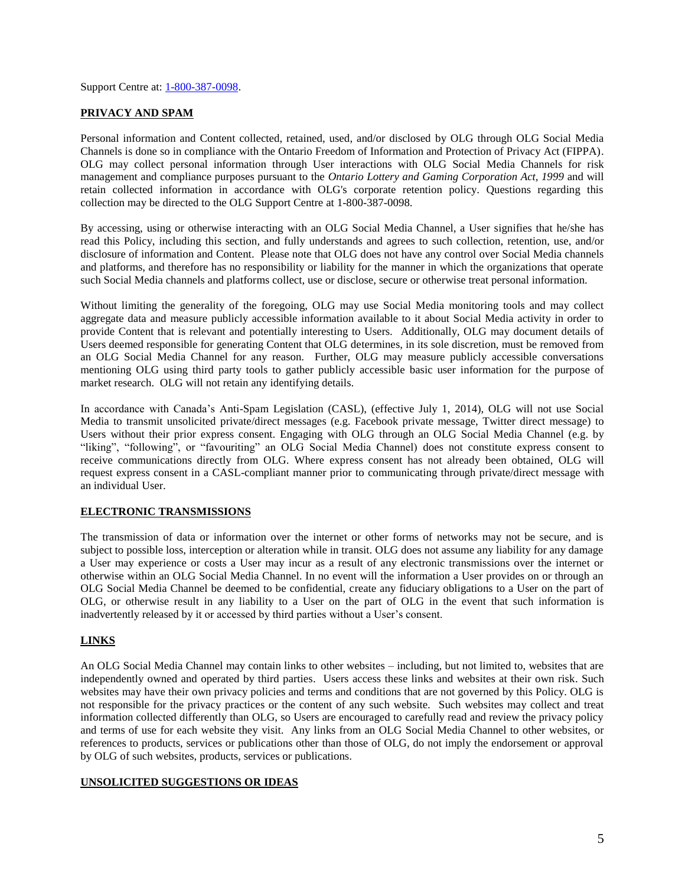Support Centre at: [1-800-387-0098.](tel:1-800-387-0098)

## **PRIVACY AND SPAM**

Personal information and Content collected, retained, used, and/or disclosed by OLG through OLG Social Media Channels is done so in compliance with the Ontario Freedom of Information and Protection of Privacy Act (FIPPA). OLG may collect personal information through User interactions with OLG Social Media Channels for risk management and compliance purposes pursuant to the *Ontario Lottery and Gaming Corporation Act, 1999* and will retain collected information in accordance with OLG's corporate retention policy. Questions regarding this collection may be directed to the OLG Support Centre at 1-800-387-0098.

By accessing, using or otherwise interacting with an OLG Social Media Channel, a User signifies that he/she has read this Policy, including this section, and fully understands and agrees to such collection, retention, use, and/or disclosure of information and Content. Please note that OLG does not have any control over Social Media channels and platforms, and therefore has no responsibility or liability for the manner in which the organizations that operate such Social Media channels and platforms collect, use or disclose, secure or otherwise treat personal information.

Without limiting the generality of the foregoing, OLG may use Social Media monitoring tools and may collect aggregate data and measure publicly accessible information available to it about Social Media activity in order to provide Content that is relevant and potentially interesting to Users. Additionally, OLG may document details of Users deemed responsible for generating Content that OLG determines, in its sole discretion, must be removed from an OLG Social Media Channel for any reason. Further, OLG may measure publicly accessible conversations mentioning OLG using third party tools to gather publicly accessible basic user information for the purpose of market research. OLG will not retain any identifying details.

In accordance with Canada's Anti-Spam Legislation (CASL), (effective July 1, 2014), OLG will not use Social Media to transmit unsolicited private/direct messages (e.g. Facebook private message, Twitter direct message) to Users without their prior express consent. Engaging with OLG through an OLG Social Media Channel (e.g. by "liking", "following", or "favouriting" an OLG Social Media Channel) does not constitute express consent to receive communications directly from OLG. Where express consent has not already been obtained, OLG will request express consent in a CASL-compliant manner prior to communicating through private/direct message with an individual User.

## **ELECTRONIC TRANSMISSIONS**

The transmission of data or information over the internet or other forms of networks may not be secure, and is subject to possible loss, interception or alteration while in transit. OLG does not assume any liability for any damage a User may experience or costs a User may incur as a result of any electronic transmissions over the internet or otherwise within an OLG Social Media Channel. In no event will the information a User provides on or through an OLG Social Media Channel be deemed to be confidential, create any fiduciary obligations to a User on the part of OLG, or otherwise result in any liability to a User on the part of OLG in the event that such information is inadvertently released by it or accessed by third parties without a User's consent.

## **LINKS**

An OLG Social Media Channel may contain links to other websites – including, but not limited to, websites that are independently owned and operated by third parties. Users access these links and websites at their own risk. Such websites may have their own privacy policies and terms and conditions that are not governed by this Policy. OLG is not responsible for the privacy practices or the content of any such website. Such websites may collect and treat information collected differently than OLG, so Users are encouraged to carefully read and review the privacy policy and terms of use for each website they visit. Any links from an OLG Social Media Channel to other websites, or references to products, services or publications other than those of OLG, do not imply the endorsement or approval by OLG of such websites, products, services or publications.

## **UNSOLICITED SUGGESTIONS OR IDEAS**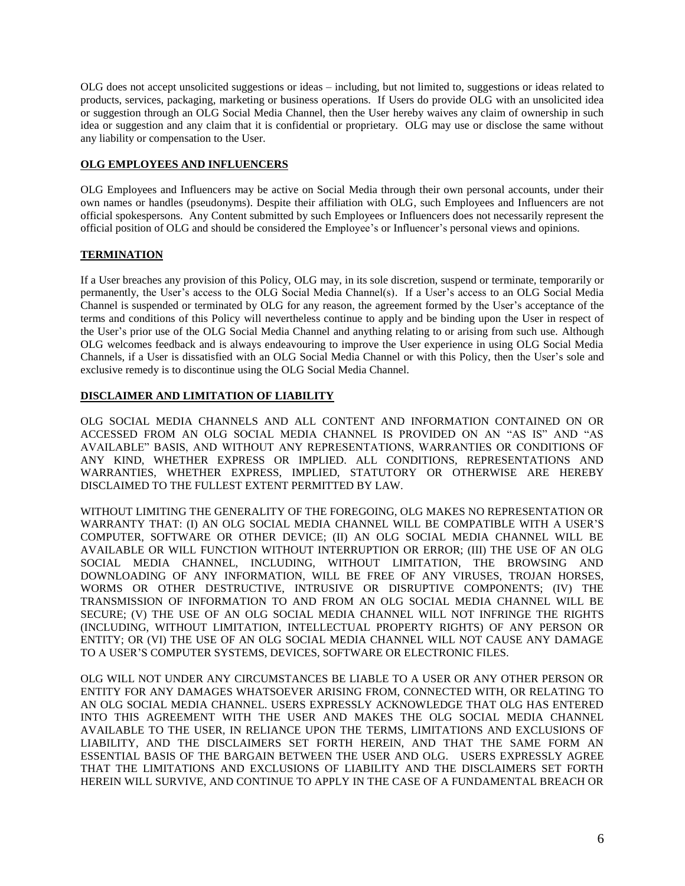OLG does not accept unsolicited suggestions or ideas – including, but not limited to, suggestions or ideas related to products, services, packaging, marketing or business operations. If Users do provide OLG with an unsolicited idea or suggestion through an OLG Social Media Channel, then the User hereby waives any claim of ownership in such idea or suggestion and any claim that it is confidential or proprietary. OLG may use or disclose the same without any liability or compensation to the User.

## **OLG EMPLOYEES AND INFLUENCERS**

OLG Employees and Influencers may be active on Social Media through their own personal accounts, under their own names or handles (pseudonyms). Despite their affiliation with OLG, such Employees and Influencers are not official spokespersons. Any Content submitted by such Employees or Influencers does not necessarily represent the official position of OLG and should be considered the Employee's or Influencer's personal views and opinions.

# **TERMINATION**

If a User breaches any provision of this Policy, OLG may, in its sole discretion, suspend or terminate, temporarily or permanently, the User's access to the OLG Social Media Channel(s). If a User's access to an OLG Social Media Channel is suspended or terminated by OLG for any reason, the agreement formed by the User's acceptance of the terms and conditions of this Policy will nevertheless continue to apply and be binding upon the User in respect of the User's prior use of the OLG Social Media Channel and anything relating to or arising from such use. Although OLG welcomes feedback and is always endeavouring to improve the User experience in using OLG Social Media Channels, if a User is dissatisfied with an OLG Social Media Channel or with this Policy, then the User's sole and exclusive remedy is to discontinue using the OLG Social Media Channel.

# **DISCLAIMER AND LIMITATION OF LIABILITY**

OLG SOCIAL MEDIA CHANNELS AND ALL CONTENT AND INFORMATION CONTAINED ON OR ACCESSED FROM AN OLG SOCIAL MEDIA CHANNEL IS PROVIDED ON AN "AS IS" AND "AS AVAILABLE" BASIS, AND WITHOUT ANY REPRESENTATIONS, WARRANTIES OR CONDITIONS OF ANY KIND, WHETHER EXPRESS OR IMPLIED. ALL CONDITIONS, REPRESENTATIONS AND WARRANTIES, WHETHER EXPRESS, IMPLIED, STATUTORY OR OTHERWISE ARE HEREBY DISCLAIMED TO THE FULLEST EXTENT PERMITTED BY LAW.

WITHOUT LIMITING THE GENERALITY OF THE FOREGOING, OLG MAKES NO REPRESENTATION OR WARRANTY THAT: (I) AN OLG SOCIAL MEDIA CHANNEL WILL BE COMPATIBLE WITH A USER'S COMPUTER, SOFTWARE OR OTHER DEVICE; (II) AN OLG SOCIAL MEDIA CHANNEL WILL BE AVAILABLE OR WILL FUNCTION WITHOUT INTERRUPTION OR ERROR; (III) THE USE OF AN OLG SOCIAL MEDIA CHANNEL, INCLUDING, WITHOUT LIMITATION, THE BROWSING AND DOWNLOADING OF ANY INFORMATION, WILL BE FREE OF ANY VIRUSES, TROJAN HORSES, WORMS OR OTHER DESTRUCTIVE, INTRUSIVE OR DISRUPTIVE COMPONENTS; (IV) THE TRANSMISSION OF INFORMATION TO AND FROM AN OLG SOCIAL MEDIA CHANNEL WILL BE SECURE; (V) THE USE OF AN OLG SOCIAL MEDIA CHANNEL WILL NOT INFRINGE THE RIGHTS (INCLUDING, WITHOUT LIMITATION, INTELLECTUAL PROPERTY RIGHTS) OF ANY PERSON OR ENTITY; OR (VI) THE USE OF AN OLG SOCIAL MEDIA CHANNEL WILL NOT CAUSE ANY DAMAGE TO A USER'S COMPUTER SYSTEMS, DEVICES, SOFTWARE OR ELECTRONIC FILES.

OLG WILL NOT UNDER ANY CIRCUMSTANCES BE LIABLE TO A USER OR ANY OTHER PERSON OR ENTITY FOR ANY DAMAGES WHATSOEVER ARISING FROM, CONNECTED WITH, OR RELATING TO AN OLG SOCIAL MEDIA CHANNEL. USERS EXPRESSLY ACKNOWLEDGE THAT OLG HAS ENTERED INTO THIS AGREEMENT WITH THE USER AND MAKES THE OLG SOCIAL MEDIA CHANNEL AVAILABLE TO THE USER, IN RELIANCE UPON THE TERMS, LIMITATIONS AND EXCLUSIONS OF LIABILITY, AND THE DISCLAIMERS SET FORTH HEREIN, AND THAT THE SAME FORM AN ESSENTIAL BASIS OF THE BARGAIN BETWEEN THE USER AND OLG. USERS EXPRESSLY AGREE THAT THE LIMITATIONS AND EXCLUSIONS OF LIABILITY AND THE DISCLAIMERS SET FORTH HEREIN WILL SURVIVE, AND CONTINUE TO APPLY IN THE CASE OF A FUNDAMENTAL BREACH OR